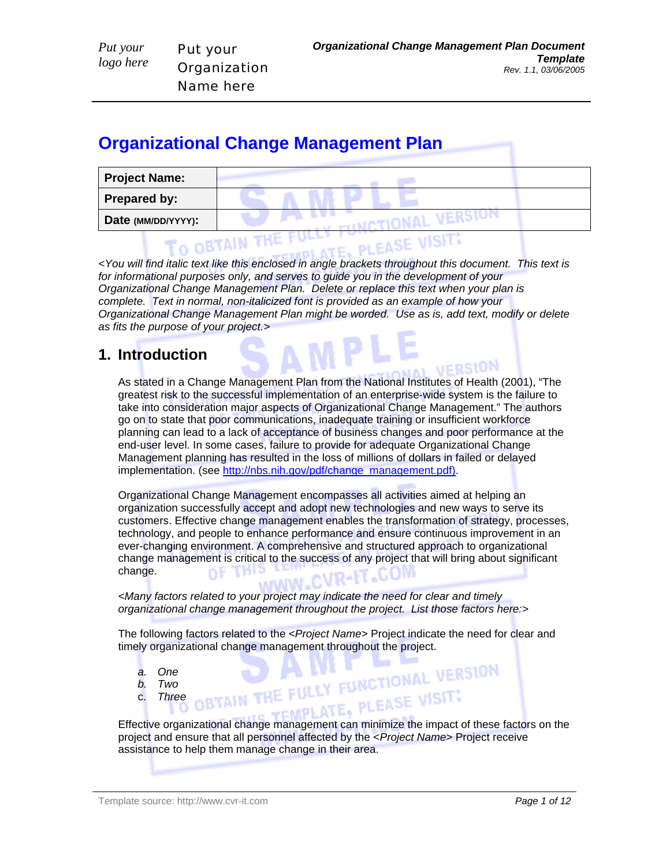# **Organizational Change Management Plan**

Put your

**Organization** Name here

| <b>Project Name:</b> |  |
|----------------------|--|
| <b>Prepared by:</b>  |  |
| Date (MM/DD/YYYY):   |  |
|                      |  |

*<You will find italic text like this enclosed in angle brackets throughout this document. This text is for informational purposes only, and serves to guide you in the development of your Organizational Change Management Plan. Delete or replace this text when your plan is complete. Text in normal, non-italicized font is provided as an example of how your Organizational Change Management Plan might be worded. Use as is, add text, modify or delete as fits the purpose of your project.>* 

## **1. Introduction**

*Put your logo here* 

> As stated in a Change Management Plan from the National Institutes of Health (2001), "The greatest risk to the successful implementation of an enterprise-wide system is the failure to take into consideration major aspects of Organizational Change Management." The authors go on to state that poor communications, inadequate training or insufficient workforce planning can lead to a lack of acceptance of business changes and poor performance at the end-user level. In some cases, failure to provide for adequate Organizational Change Management planning has resulted in the loss of millions of dollars in failed or delayed implementation. (see http://nbs.nih.gov/pdf/change\_management.pdf).

Organizational Change Management encompasses all activities aimed at helping an organization successfully accept and adopt new technologies and new ways to serve its customers. Effective change management enables the transformation of strategy, processes, technology, and people to enhance performance and ensure continuous improvement in an ever-changing environment. A comprehensive and structured approach to organizational change management is critical to the success of any project that will bring about significant OF THI change.

*<Many factors related to your project may indicate the need for clear and timely organizational change management throughout the project. List those factors here:>* 

The following factors related to the <*Project Name*> Project indicate the need for clear and timely organizational change management throughout the project.<br>
a. One<br>
b. Two<br>
c. Three BTAIN THE FULLY FUNCTIONAL VERSION

- *a. One*
- *b. Two*
- c. *Three*

Effective organizational change management can minimize the impact of these factors on the project and ensure that all personnel affected by the <*Project Name*> Project receive assistance to help them manage change in their area.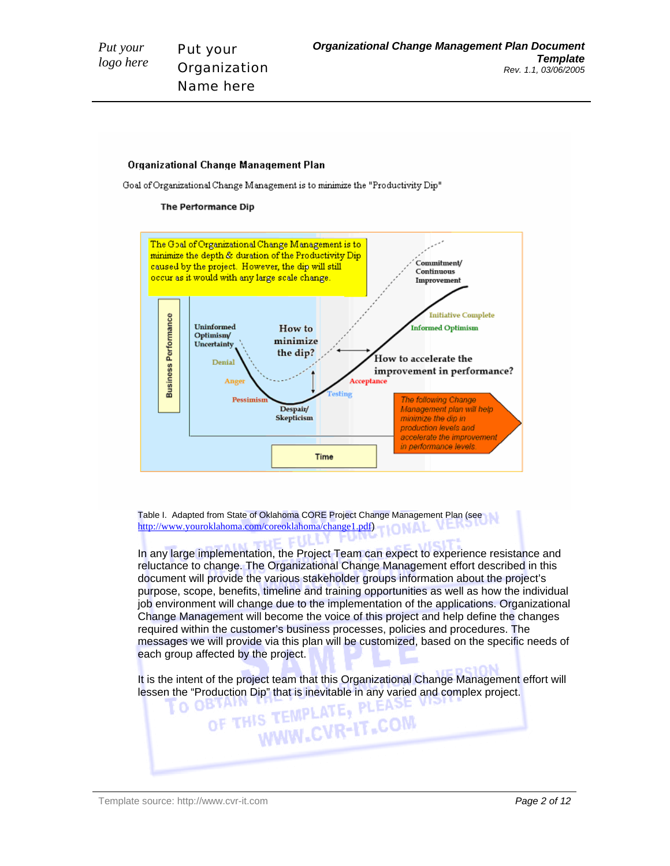#### **Organizational Change Management Plan**

Goal of Organizational Change Management is to minimize the "Productivity Dip"

#### **The Performance Dip**



Table I. Adapted from State of Oklahoma CORE Project Change Management Plan (see http://www.youroklahoma.com/coreoklahoma/change1.pdf) **IONAL** tilly for

In any large implementation, the Project Team can expect to experience resistance and reluctance to change. The Organizational Change Management effort described in this document will provide the various stakeholder groups information about the project's purpose, scope, benefits, timeline and training opportunities as well as how the individual job environment will change due to the implementation of the applications. Organizational Change Management will become the voice of this project and help define the changes required within the customer's business processes, policies and procedures. The messages we will provide via this plan will be customized, based on the specific needs of each group affected by the project.

It is the intent of the project team that this Organizational Change Management effort will

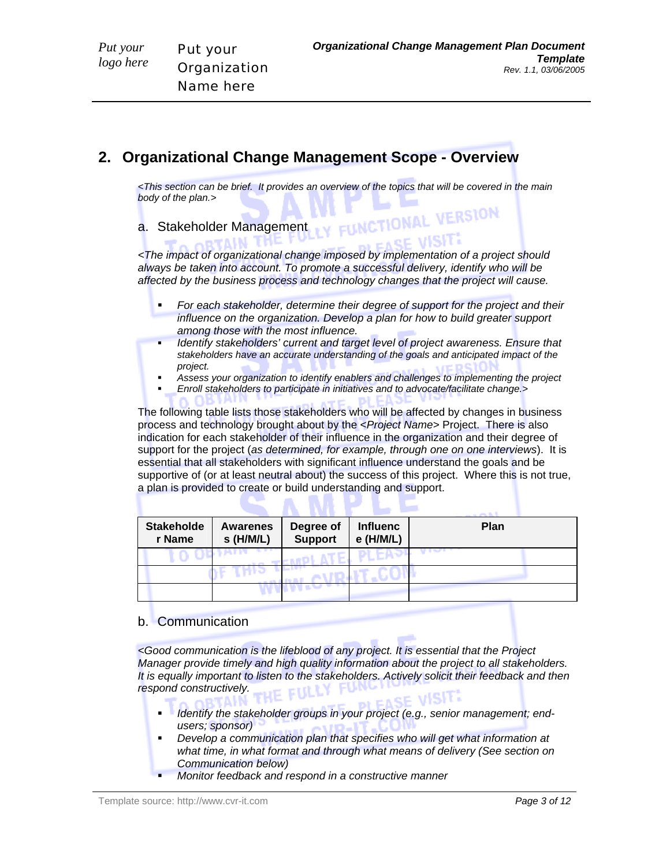*Put your logo here* 

## **2. Organizational Change Management Scope - Overview**

*<This section can be brief. It provides an overview of the topics that will be covered in the main body of the plan.>*  UNCTIONAL VERSION

a. Stakeholder Management

*<The impact of organizational change imposed by implementation of a project should always be taken into account. To promote a successful delivery, identify who will be affected by the business process and technology changes that the project will cause.* 

- *For each stakeholder, determine their degree of support for the project and their influence on the organization. Develop a plan for how to build greater support among those with the most influence.*
- *Identify stakeholders' current and target level of project awareness. Ensure that stakeholders have an accurate understanding of the goals and anticipated impact of the project.*
- *Assess your organization to identify enablers and challenges to implementing the project*
- *Enroll stakeholders to participate in initiatives and to advocate/facilitate change.>*

The following table lists those stakeholders who will be affected by changes in business process and technology brought about by the <*Project Name*> Project. There is also indication for each stakeholder of their influence in the organization and their degree of support for the project (*as determined, for example, through one on one interviews*). It is essential that all stakeholders with significant influence understand the goals and be supportive of (or at least neutral about) the success of this project. Where this is not true, a plan is provided to create or build understanding and support.

| <b>Stakeholde</b><br>r Name | <b>Awarenes</b><br>$s$ (H/M/L) | Degree of<br><b>Support</b> | <b>Influenc</b><br>e (H/M/L) | <b>Plan</b> |
|-----------------------------|--------------------------------|-----------------------------|------------------------------|-------------|
|                             |                                |                             |                              |             |
|                             |                                |                             |                              |             |
|                             |                                |                             |                              |             |

### b. Communication

*<Good communication is the lifeblood of any project. It is essential that the Project Manager provide timely and high quality information about the project to all stakeholders. It is equally important to listen to the stakeholders. Actively solicit their feedback and then respond constructively.* 

- *Identify the stakeholder groups in your project (e.g., senior management; endusers; sponsor)*
- *Develop a communication plan that specifies who will get what information at what time, in what format and through what means of delivery (See section on Communication below)*
- *Monitor feedback and respond in a constructive manner*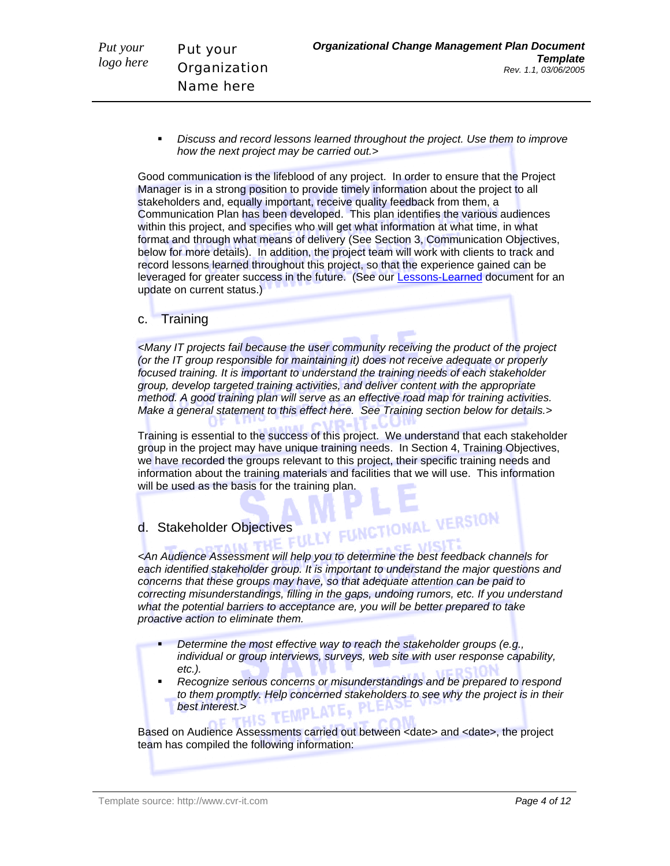*Discuss and record lessons learned throughout the project. Use them to improve how the next project may be carried out.>* 

Good communication is the lifeblood of any project. In order to ensure that the Project Manager is in a strong position to provide timely information about the project to all stakeholders and, equally important, receive quality feedback from them, a Communication Plan has been developed. This plan identifies the various audiences within this project, and specifies who will get what information at what time, in what format and through what means of delivery (See Section 3, Communication Objectives, below for more details). In addition, the project team will work with clients to track and record lessons learned throughout this project, so that the experience gained can be leveraged for greater success in the future. (See our Lessons-Learned document for an update on current status.)

### c. Training

*<Many IT projects fail because the user community receiving the product of the project (or the IT group responsible for maintaining it) does not receive adequate or properly focused training. It is important to understand the training needs of each stakeholder group, develop targeted training activities, and deliver content with the appropriate method. A good training plan will serve as an effective road map for training activities. Make a general statement to this effect here. See Training section below for details.>* 

Training is essential to the success of this project. We understand that each stakeholder group in the project may have unique training needs. In Section 4, Training Objectives, we have recorded the groups relevant to this project, their specific training needs and information about the training materials and facilities that we will use. This information will be used as the basis for the training plan.

# d. Stakeholder Objectives<br>
Le Commune de Litt LY FUNCTIONAL VERSION

*<An Audience Assessment will help you to determine the best feedback channels for each identified stakeholder group. It is important to understand the major questions and concerns that these groups may have, so that adequate attention can be paid to correcting misunderstandings, filling in the gaps, undoing rumors, etc. If you understand what the potential barriers to acceptance are, you will be better prepared to take proactive action to eliminate them.* 

- *Determine the most effective way to reach the stakeholder groups (e.g., individual or group interviews, surveys, web site with user response capability, etc.).*
- *Recognize serious concerns or misunderstandings and be prepared to respond to them promptly. Help concerned stakeholders to see why the project is in their best interest.>*

Based on Audience Assessments carried out between <date> and <date>, the project team has compiled the following information: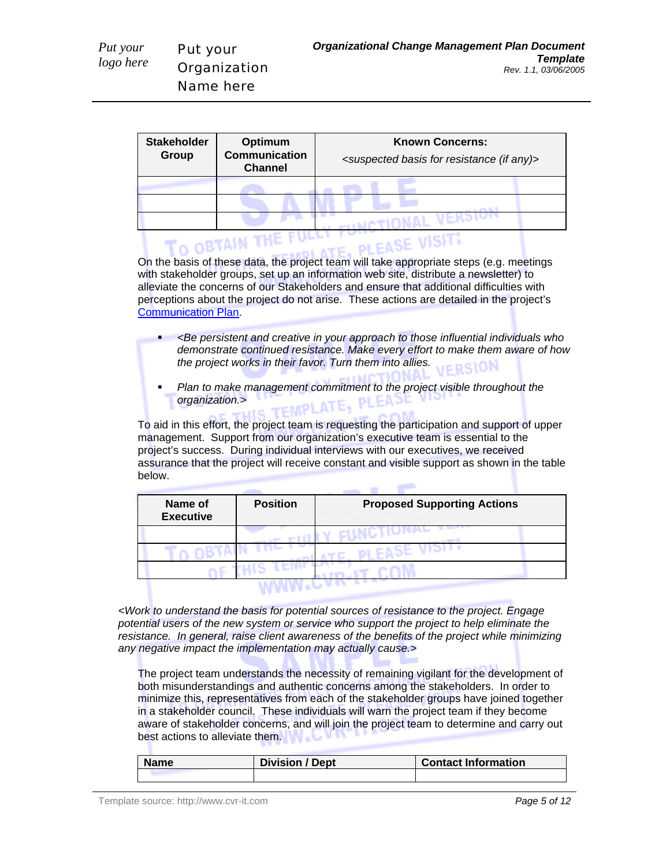Put your

*Put your logo here* 

| <b>Stakeholder</b><br>Group | Optimum<br><b>Communication</b><br><b>Channel</b> | <b>Known Concerns:</b><br><suspected (if="" any)="" basis="" for="" resistance=""></suspected> |
|-----------------------------|---------------------------------------------------|------------------------------------------------------------------------------------------------|
|                             |                                                   |                                                                                                |
|                             |                                                   |                                                                                                |
|                             |                                                   |                                                                                                |
|                             |                                                   |                                                                                                |

On the basis of these data, the project team will take appropriate steps (e.g. meetings with stakeholder groups, set up an information web site, distribute a newsletter) to alleviate the concerns of our Stakeholders and ensure that additional difficulties with perceptions about the project do not arise. These actions are detailed in the project's Communication Plan.

- *<Be persistent and creative in your approach to those influential individuals who demonstrate continued resistance. Make every effort to make them aware of how the project works in their favor. Turn them into allies.*
- *Plan to make management commitment to the project visible throughout the organization.> organization.>*

To aid in this effort, the project team is requesting the participation and support of upper management. Support from our organization's executive team is essential to the project's success. During individual interviews with our executives, we received assurance that the project will receive constant and visible support as shown in the table below.

والتجاوز

| Name of<br><b>Executive</b> | <b>Position</b> | <b>Proposed Supporting Actions</b> |
|-----------------------------|-----------------|------------------------------------|
|                             |                 |                                    |
|                             |                 |                                    |
|                             |                 |                                    |
|                             |                 |                                    |

*<Work to understand the basis for potential sources of resistance to the project. Engage potential users of the new system or service who support the project to help eliminate the*  resistance. In general, raise client awareness of the benefits of the project while minimizing *any negative impact the implementation may actually cause.>* 

The project team understands the necessity of remaining vigilant for the development of both misunderstandings and authentic concerns among the stakeholders. In order to minimize this, representatives from each of the stakeholder groups have joined together in a stakeholder council. These individuals will warn the project team if they become aware of stakeholder concerns, and will join the project team to determine and carry out best actions to alleviate them.

| <b>Name</b> | <b>Division / Dept</b> | <b>Contact Information</b> |
|-------------|------------------------|----------------------------|
|             |                        |                            |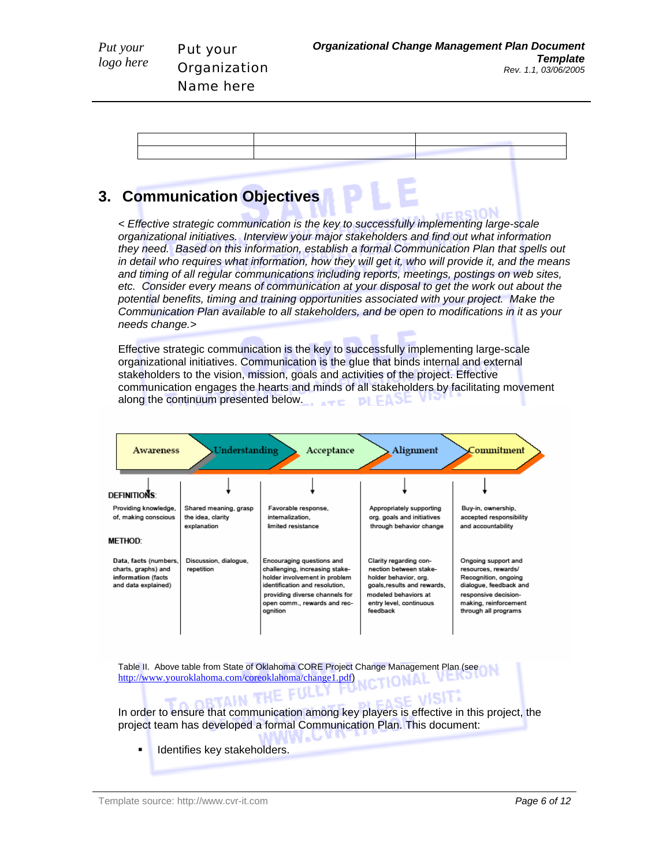

## **3. Communication Objectives**

*< Effective strategic communication is the key to successfully implementing large-scale organizational initiatives. Interview your major stakeholders and find out what information they need. Based on this information, establish a formal Communication Plan that spells out in detail who requires what information, how they will get it, who will provide it, and the means and timing of all regular communications including reports, meetings, postings on web sites, etc. Consider every means of communication at your disposal to get the work out about the potential benefits, timing and training opportunities associated with your project. Make the Communication Plan available to all stakeholders, and be open to modifications in it as your needs change.>* 

Effective strategic communication is the key to successfully implementing large-scale organizational initiatives. Communication is the glue that binds internal and external stakeholders to the vision, mission, goals and activities of the project. Effective communication engages the hearts and minds of all stakeholders by facilitating movement along the continuum presented below. DI FAJE



Table II. Above table from State of Oklahoma CORE Project Change Management Plan (see http://www.youroklahoma.com/coreoklahoma/change1.pdf)

**ORTAIN T** In order to ensure that communication among key players is effective in this project, the project team has developed a formal Communication Plan. This document:

Identifies key stakeholders.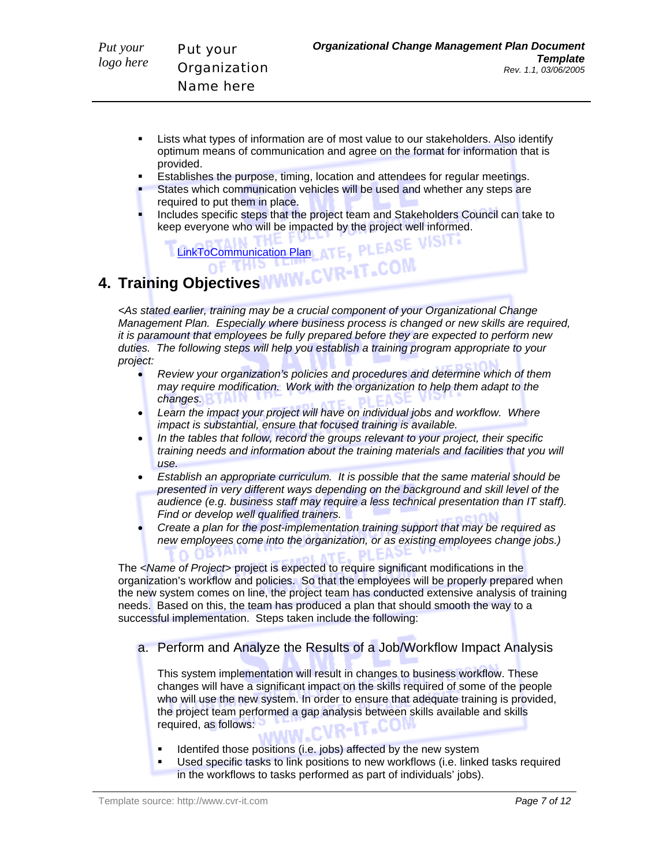- Lists what types of information are of most value to our stakeholders. Also identify optimum means of communication and agree on the format for information that is provided.
- Establishes the purpose, timing, location and attendees for regular meetings.
- States which communication vehicles will be used and whether any steps are required to put them in place.
- Includes specific steps that the project team and Stakeholders Council can take to keep everyone who will be impacted by the project well informed.

LinkToCommunication Plan ATE, PLEASE VISIT:

# **4. Training Objectives NWW.CVR-IT.COM**

*<As stated earlier, training may be a crucial component of your Organizational Change Management Plan. Especially where business process is changed or new skills are required, it is paramount that employees be fully prepared before they are expected to perform new duties. The following steps will help you establish a training program appropriate to your project:* 

- *Review your organization's policies and procedures and determine which of them may require modification. Work with the organization to help them adapt to the changes.*
- *Learn the impact your project will have on individual jobs and workflow. Where impact is substantial, ensure that focused training is available.*
- *In the tables that follow, record the groups relevant to your project, their specific training needs and information about the training materials and facilities that you will use.*
- *Establish an appropriate curriculum. It is possible that the same material should be presented in very different ways depending on the background and skill level of the audience (e.g. business staff may require a less technical presentation than IT staff). Find or develop well qualified trainers.*
- *Create a plan for the post-implementation training support that may be required as new employees come into the organization, or as existing employees change jobs.)*

The <*Name of Project*> project is expected to require significant modifications in the organization's workflow and policies. So that the employees will be properly prepared when the new system comes on line, the project team has conducted extensive analysis of training needs. Based on this, the team has produced a plan that should smooth the way to a successful implementation. Steps taken include the following:

a. Perform and Analyze the Results of a Job/Workflow Impact Analysis

This system implementation will result in changes to business workflow. These changes will have a significant impact on the skills required of some of the people who will use the new system. In order to ensure that adequate training is provided, the project team performed a gap analysis between skills available and skills required, as follows:

- **IDENTIFY IDENTIFY IDENTIFY** Identifed those positions (i.e. jobs) affected by the new system
- Used specific tasks to link positions to new workflows (i.e. linked tasks required in the workflows to tasks performed as part of individuals' jobs).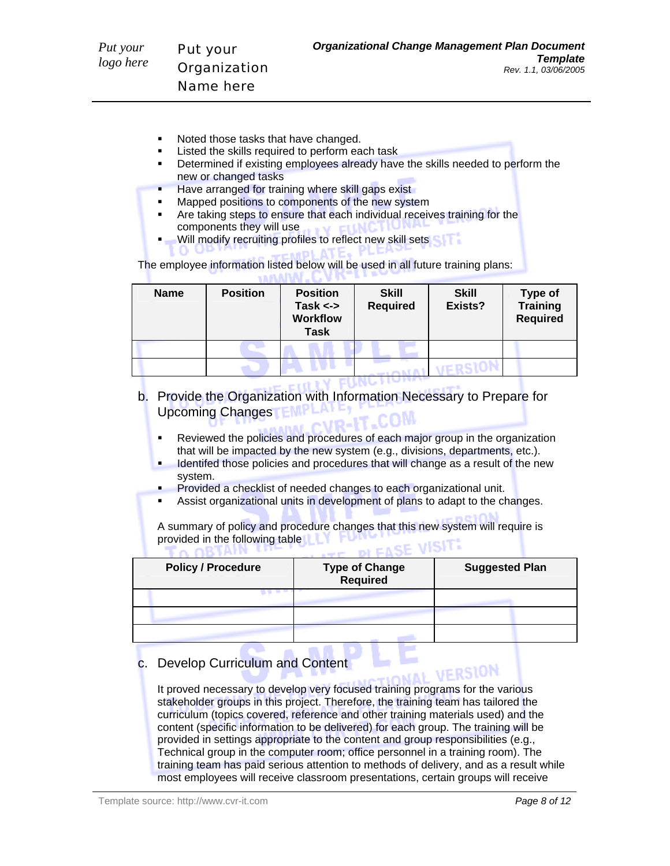- Noted those tasks that have changed.
- Listed the skills required to perform each task
- Determined if existing employees already have the skills needed to perform the new or changed tasks
- Have arranged for training where skill gaps exist
- **Mapped positions to components of the new system**
- Are taking steps to ensure that each individual receives training for the components they will use with the Links of
- Will modify recruiting profiles to reflect new skill sets

The employee information listed below will be used in all future training plans: **CONAINE** 

| <b>Name</b> | <b>Position</b> | <b>Position</b><br>Task $\leftarrow$<br><b>Workflow</b><br><b>Task</b> | <b>Skill</b><br><b>Required</b> | <b>Skill</b><br>Exists? | <b>Type of</b><br>Training<br><b>Required</b> |
|-------------|-----------------|------------------------------------------------------------------------|---------------------------------|-------------------------|-----------------------------------------------|
|             |                 |                                                                        |                                 |                         |                                               |
|             |                 |                                                                        |                                 |                         |                                               |
|             |                 |                                                                        |                                 |                         |                                               |

- b. Provide the Organization with Information Necessary to Prepare for Upcoming Changes **FINITE** 
	- Reviewed the policies and procedures of each major group in the organization that will be impacted by the new system (e.g., divisions, departments, etc.).
	- **IDENTIFY IDENTIFY IS A LOCK THANGE THE UP THANGE AS A LOCK THANGE THE NEW ISLEM** LOCK THE NEW ISLAM CHANGE THE NEW system.
	- Provided a checklist of needed changes to each organizational unit.
	- Assist organizational units in development of plans to adapt to the changes.

A summary of policy and procedure changes that this new system will require is provided in the following table **DI FASE VISITE** TA ARTAIN UP

| <b>Policy / Procedure</b> | Type of Change<br>Required | <b>Suggested Plan</b> |
|---------------------------|----------------------------|-----------------------|
|                           |                            |                       |
|                           |                            |                       |
|                           |                            |                       |

## c. Develop Curriculum and Content

It proved necessary to develop very focused training programs for the various stakeholder groups in this project. Therefore, the training team has tailored the curriculum (topics covered, reference and other training materials used) and the content (specific information to be delivered) for each group. The training will be provided in settings appropriate to the content and group responsibilities (e.g., Technical group in the computer room; office personnel in a training room). The training team has paid serious attention to methods of delivery, and as a result while most employees will receive classroom presentations, certain groups will receive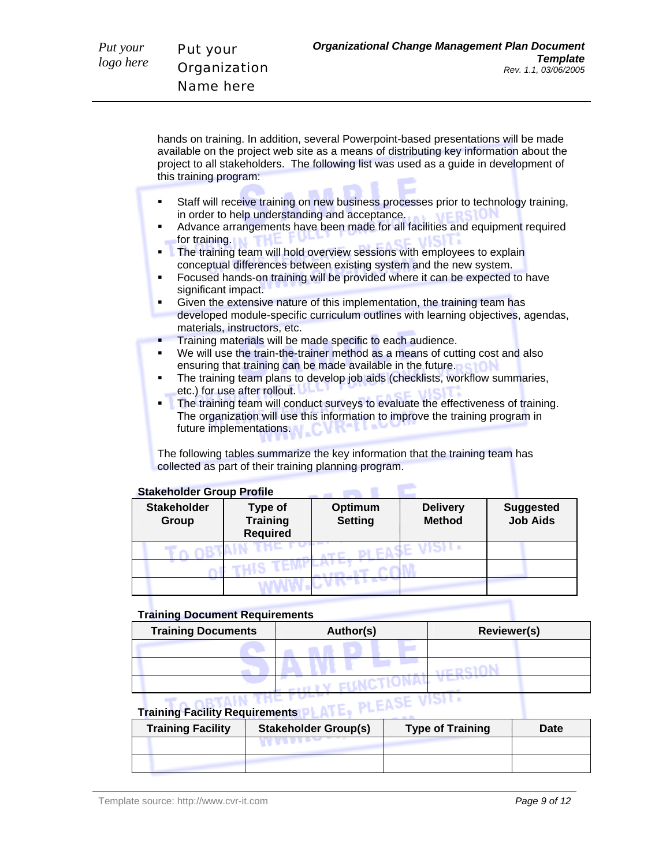*Put your logo here* 

hands on training. In addition, several Powerpoint-based presentations will be made available on the project web site as a means of distributing key information about the project to all stakeholders. The following list was used as a guide in development of this training program:

- Staff will receive training on new business processes prior to technology training,<br>in order to help understanding and acceptance. in order to help understanding and acceptance.
- Advance arrangements have been made for all facilities and equipment required for training.
- **The training team will hold overview sessions with employees to explain** conceptual differences between existing system and the new system.
- Focused hands-on training will be provided where it can be expected to have significant impact.
- Given the extensive nature of this implementation, the training team has developed module-specific curriculum outlines with learning objectives, agendas, materials, instructors, etc.
- **Training materials will be made specific to each audience.**
- We will use the train-the-trainer method as a means of cutting cost and also ensuring that training can be made available in the future.
- The training team plans to develop job aids (checklists, workflow summaries, etc.) for use after rollout.
- The training team will conduct surveys to evaluate the effectiveness of training. The organization will use this information to improve the training program in future implementations.

**Contract Contract** 

The following tables summarize the key information that the training team has collected as part of their training planning program.

#### **Stakeholder Group Profile**

| <b>Stakeholder</b><br>Group | Type of<br><b>Training</b><br><b>Required</b> | Optimum<br><b>Setting</b> | <b>Delivery</b><br><b>Method</b> | <b>Suggested</b><br><b>Job Aids</b> |
|-----------------------------|-----------------------------------------------|---------------------------|----------------------------------|-------------------------------------|
|                             |                                               |                           |                                  |                                     |
|                             |                                               |                           |                                  |                                     |
|                             |                                               |                           |                                  |                                     |

#### **Training Document Requirements**

| <b>Training Documents</b> | Author(s) | <b>Reviewer(s)</b> |  |
|---------------------------|-----------|--------------------|--|
|                           |           |                    |  |
|                           |           |                    |  |
|                           |           |                    |  |

# **Training Facility Requirements**

| <b>Training Facility</b> | <b>Stakeholder Group(s)</b> | <b>Type of Training</b> | Date |
|--------------------------|-----------------------------|-------------------------|------|
|                          |                             |                         |      |
|                          |                             |                         |      |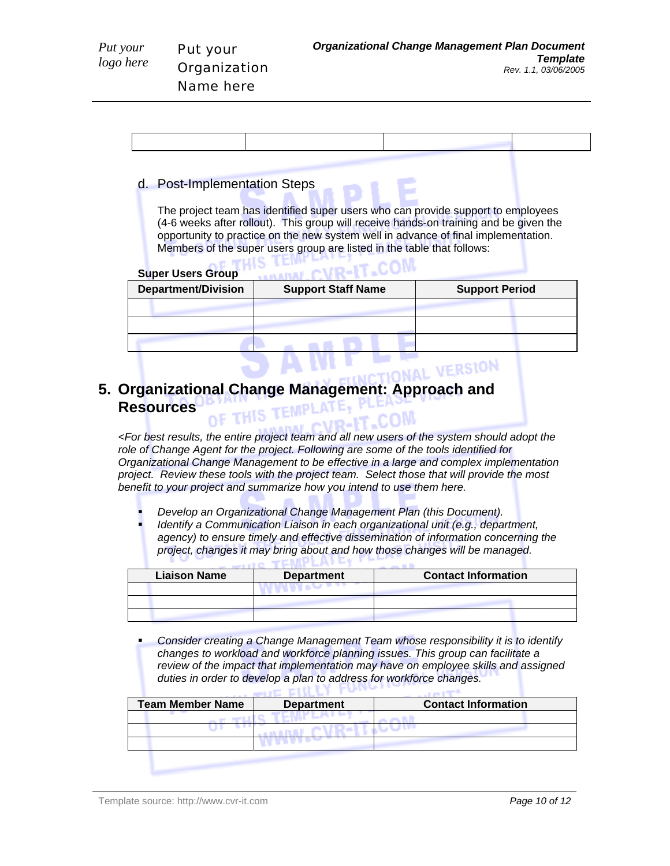| d. Post-Implementation Steps                                                                                                                                                                                                                                                                                                                                          |                           |                       |  |
|-----------------------------------------------------------------------------------------------------------------------------------------------------------------------------------------------------------------------------------------------------------------------------------------------------------------------------------------------------------------------|---------------------------|-----------------------|--|
| The project team has identified super users who can provide support to employees<br>(4-6 weeks after rollout). This group will receive hands-on training and be given the<br>opportunity to practice on the new system well in advance of final implementation.<br>Members of the super users group are listed in the table that follows:<br><b>Super Users Group</b> |                           |                       |  |
| <b>Department/Division</b>                                                                                                                                                                                                                                                                                                                                            | <b>Support Staff Name</b> | <b>Support Period</b> |  |
|                                                                                                                                                                                                                                                                                                                                                                       |                           |                       |  |
|                                                                                                                                                                                                                                                                                                                                                                       |                           |                       |  |
|                                                                                                                                                                                                                                                                                                                                                                       |                           |                       |  |

#### **NAL VERSION 5. Organizational Change Management: Approach and Resources**  THIS TEMPL AT EV

*<For best results, the entire project team and all new users of the system should adopt the role of Change Agent for the project. Following are some of the tools identified for Organizational Change Management to be effective in a large and complex implementation project. Review these tools with the project team. Select those that will provide the most benefit to your project and summarize how you intend to use them here.* 

- *Develop an Organizational Change Management Plan (this Document).*
- *Identify a Communication Liaison in each organizational unit (e.g., department, agency) to ensure timely and effective dissemination of information concerning the project, changes it may bring about and how those changes will be managed.*

| <b>Liaison Name</b> | <b>Department</b> | <b>Contact Information</b> |
|---------------------|-------------------|----------------------------|
|                     |                   |                            |
|                     |                   |                            |
|                     |                   |                            |

 *Consider creating a Change Management Team whose responsibility it is to identify changes to workload and workforce planning issues. This group can facilitate a review of the impact that implementation may have on employee skills and assigned duties in order to develop a plan to address for workforce changes.*   $\equiv$  or  $\pi$ til LY

| <b>Team Member Name</b> | <b>Department</b> | <b>Contact Information</b> |  |
|-------------------------|-------------------|----------------------------|--|
|                         |                   |                            |  |
|                         |                   |                            |  |
|                         |                   |                            |  |
|                         |                   |                            |  |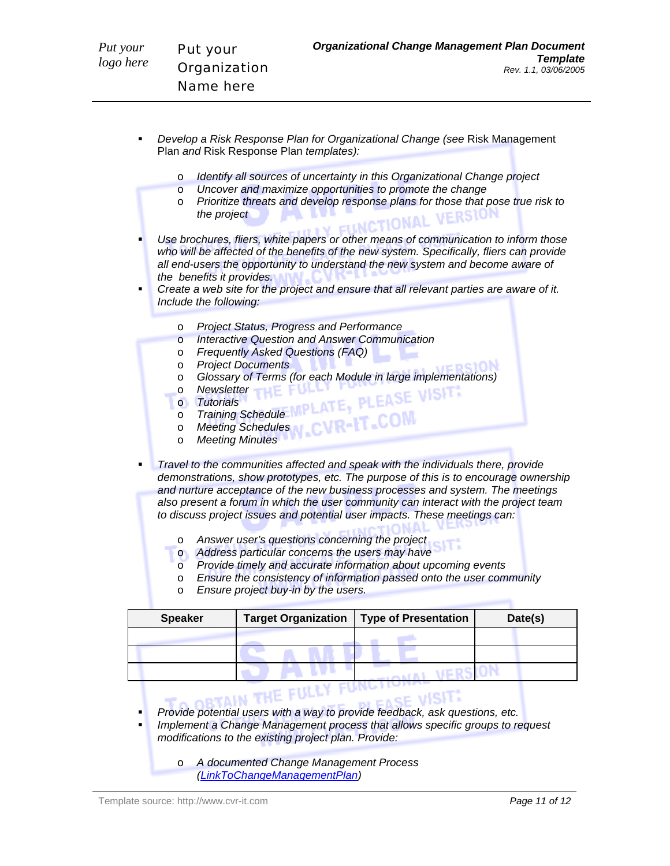- *Develop a Risk Response Plan for Organizational Change (see* Risk Management Plan *and* Risk Response Plan *templates):* 
	- o *Identify all sources of uncertainty in this Organizational Change project*
		- o *Uncover and maximize opportunities to promote the change*
		- o *Prioritize threats and develop response plans for those that pose true risk to the project*  **A BY FUNCTIONAL**

 *Use brochures, fliers, white papers or other means of communication to inform those who will be affected of the benefits of the new system. Specifically, fliers can provide all end-users the opportunity to understand the new system and become aware of the benefits it provides.* 

- *Create a web site for the project and ensure that all relevant parties are aware of it. Include the following:* 
	- o *Project Status, Progress and Performance*
	- o *Interactive Question and Answer Communication*
	- o *Frequently Asked Questions (FAQ)*
	- o *Project Documents*
	- o **Glossary of Terms (for each Module in large implementations)**<br>
	Newsletter<br>
	o Tutorials<br>
	o Training Schedule<br>
	Menting C
	- **o** Newsletter **THE FULL**
	- o *Tutorials*
	- o *Training Schedule*
	- o *Meeting Schedules*
	- o *Meeting Minutes*

 *Travel to the communities affected and speak with the individuals there, provide demonstrations, show prototypes, etc. The purpose of this is to encourage ownership and nurture acceptance of the new business processes and system. The meetings also present a forum in which the user community can interact with the project team to discuss project issues and potential user impacts. These meetings can:* 

- o *Answer user's questions concerning the project*
- o *Address particular concerns the users may have*
- o *Provide timely and accurate information about upcoming events*
- o *Ensure the consistency of information passed onto the user community*
- o *Ensure project buy-in by the users.*

| <b>Speaker</b> | <b>Target Organization</b> | <b>Type of Presentation</b> | Date(s) |
|----------------|----------------------------|-----------------------------|---------|
|                |                            |                             |         |
|                |                            |                             |         |
|                |                            |                             |         |

- *Provide potential users with a way to provide feedback, ask questions, etc.*
- *Implement a Change Management process that allows specific groups to request modifications to the existing project plan. Provide:* 
	- o *A documented Change Management Process (LinkToChangeManagementPlan)*

*Template Rev. 1.1, 03/06/2005*